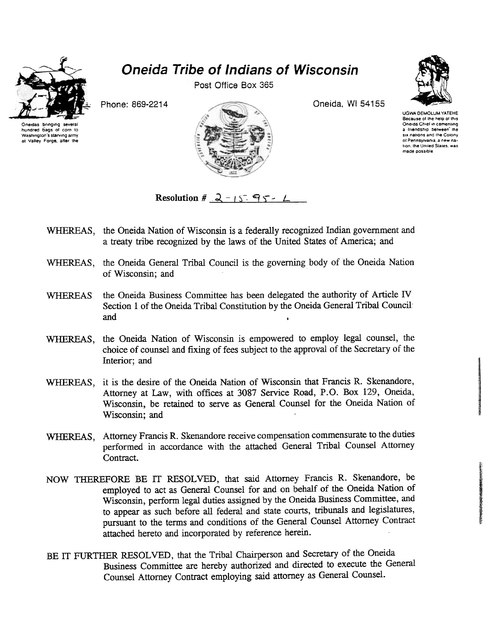

## Oneida Tribe of Indians of Wisconsin

Post Office Box 365



UGWA DEMOLUM YA TEHE Because of the help of this Oneida Chief in cementing a *Iriendship* between the six nations and the Colony of Pennsylvania, a new nahon the Unlled Slaies. was made possible



Resolution #  $2 - 15$  95 - L

- WHEREAS, the Oneida Nation of Wisconsin is a federally recognized Indian government and a treaty tribe recognized by the laws of the United States of America; and
- WHEREAS, the Oneida General Tribal Council is the governing body of the Oneida Nation of Wisconsin; and
- WHEREAS the Oneida Business Committee has been delegated the authority of Article IV Section 1 of the Oneida Tribal Constitution by the Oneida General Tribal Council: and .
- WHEREAS, the Oneida Nation of Wisconsin is empowered to employ legal counsel, the choice of counsel and fixing of fees subject to the approval of the Secretary of the Interior; and
- WHEREAS, it is the desire of the Oneida Nation of Wisconsin that Francis R. Skenandore, Attorney at Law, with offices at 3087 Service Road, P.O. Box 129, Oneida, Wisconsin, be retained to serve as General Counsel for the Oneida Nation of Wisconsin; and
- WHEREAS, Attorney Francis R. Skenandore receive compensation commensurate to the duties performed in accordance with the attached General Tribal Counsel Attorney Contract.
- NOW THEREFORE BE rr RESOLVED, that said Attorney Francis R. Skenandore, be employed to act as General Counsel for and on behalf of the Oneida Nation of Wisconsin, perform legal duties assigned by the Oneida Business Committee, and to appear as such before all federal and state courts, tribunals and legislatures, pursuant to the terms and conditions of the General Counsel Attorney Contract attached hereto and incorporated by reference herein.
- BE IT FURTHER RESOLVED, that the Tribal Chairperson and Secretary of the Oneida Business Committee are hereby authorized and directed to execute the General Counsel Attorney Contract employing said attorney as General Counsel.

Oneidas bringing severa hundred bags 01 corn to Washington's starving army at Valley Forge. alter the